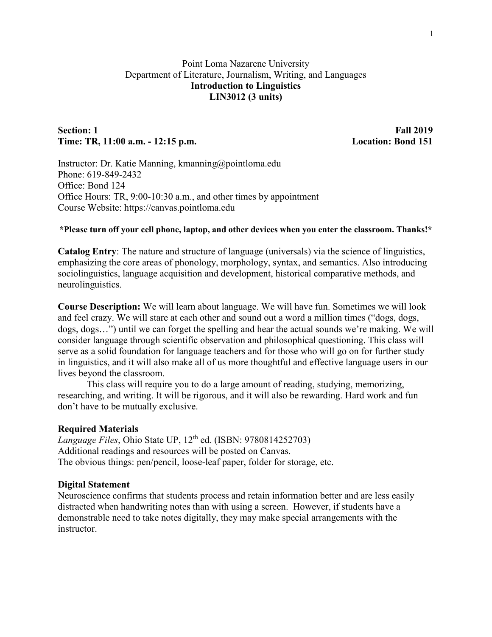# Point Loma Nazarene University Department of Literature, Journalism, Writing, and Languages **Introduction to Linguistics LIN3012 (3 units)**

## **Section: 1 Fall 2019 Time: TR, 11:00 a.m. - 12:15 p.m. Location: Bond 151**

Instructor: Dr. Katie Manning, kmanning@pointloma.edu Phone: 619-849-2432 Office: Bond 124 Office Hours: TR, 9:00-10:30 a.m., and other times by appointment Course Website: https://canvas.pointloma.edu

### **\*Please turn off your cell phone, laptop, and other devices when you enter the classroom. Thanks!\***

**Catalog Entry**: The nature and structure of language (universals) via the science of linguistics, emphasizing the core areas of phonology, morphology, syntax, and semantics. Also introducing sociolinguistics, language acquisition and development, historical comparative methods, and neurolinguistics.

**Course Description:** We will learn about language. We will have fun. Sometimes we will look and feel crazy. We will stare at each other and sound out a word a million times ("dogs, dogs, dogs, dogs…") until we can forget the spelling and hear the actual sounds we're making. We will consider language through scientific observation and philosophical questioning. This class will serve as a solid foundation for language teachers and for those who will go on for further study in linguistics, and it will also make all of us more thoughtful and effective language users in our lives beyond the classroom.

This class will require you to do a large amount of reading, studying, memorizing, researching, and writing. It will be rigorous, and it will also be rewarding. Hard work and fun don't have to be mutually exclusive.

### **Required Materials**

*Language Files*, Ohio State UP, 12th ed. (ISBN: 9780814252703) Additional readings and resources will be posted on Canvas. The obvious things: pen/pencil, loose-leaf paper, folder for storage, etc.

### **Digital Statement**

Neuroscience confirms that students process and retain information better and are less easily distracted when handwriting notes than with using a screen. However, if students have a demonstrable need to take notes digitally, they may make special arrangements with the instructor.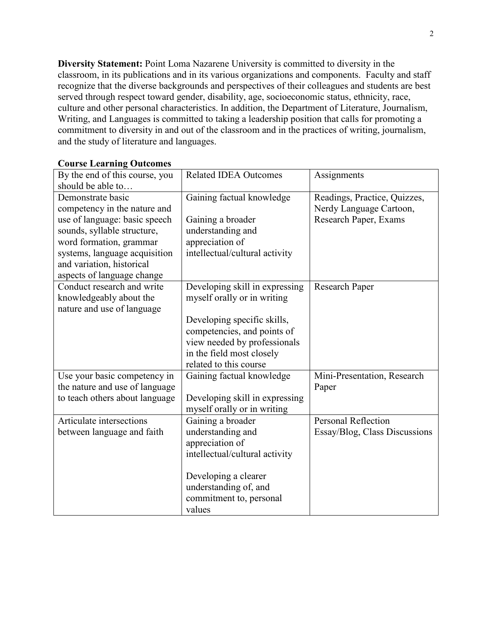**Diversity Statement:** Point Loma Nazarene University is committed to diversity in the classroom, in its publications and in its various organizations and components. Faculty and staff recognize that the diverse backgrounds and perspectives of their colleagues and students are best served through respect toward gender, disability, age, socioeconomic status, ethnicity, race, culture and other personal characteristics. In addition, the Department of Literature, Journalism, Writing, and Languages is committed to taking a leadership position that calls for promoting a commitment to diversity in and out of the classroom and in the practices of writing, journalism, and the study of literature and languages.

| By the end of this course, you                           | <b>Related IDEA Outcomes</b>                                  | Assignments                                             |
|----------------------------------------------------------|---------------------------------------------------------------|---------------------------------------------------------|
| should be able to                                        |                                                               |                                                         |
| Demonstrate basic<br>competency in the nature and        | Gaining factual knowledge                                     | Readings, Practice, Quizzes,<br>Nerdy Language Cartoon, |
| use of language: basic speech                            | Gaining a broader                                             | Research Paper, Exams                                   |
| sounds, syllable structure,                              | understanding and                                             |                                                         |
| word formation, grammar                                  | appreciation of                                               |                                                         |
| systems, language acquisition                            | intellectual/cultural activity                                |                                                         |
| and variation, historical                                |                                                               |                                                         |
| aspects of language change<br>Conduct research and write | Developing skill in expressing                                | Research Paper                                          |
| knowledgeably about the                                  | myself orally or in writing                                   |                                                         |
| nature and use of language                               |                                                               |                                                         |
|                                                          | Developing specific skills,                                   |                                                         |
|                                                          | competencies, and points of                                   |                                                         |
|                                                          | view needed by professionals                                  |                                                         |
|                                                          | in the field most closely                                     |                                                         |
|                                                          | related to this course                                        |                                                         |
| Use your basic competency in                             | Gaining factual knowledge                                     | Mini-Presentation, Research                             |
| the nature and use of language                           |                                                               | Paper                                                   |
| to teach others about language                           | Developing skill in expressing<br>myself orally or in writing |                                                         |
| Articulate intersections                                 | Gaining a broader                                             | <b>Personal Reflection</b>                              |
| between language and faith                               | understanding and                                             | Essay/Blog, Class Discussions                           |
|                                                          | appreciation of                                               |                                                         |
|                                                          | intellectual/cultural activity                                |                                                         |
|                                                          | Developing a clearer                                          |                                                         |
|                                                          | understanding of, and                                         |                                                         |
|                                                          | commitment to, personal                                       |                                                         |
|                                                          | values                                                        |                                                         |

### **Course Learning Outcomes**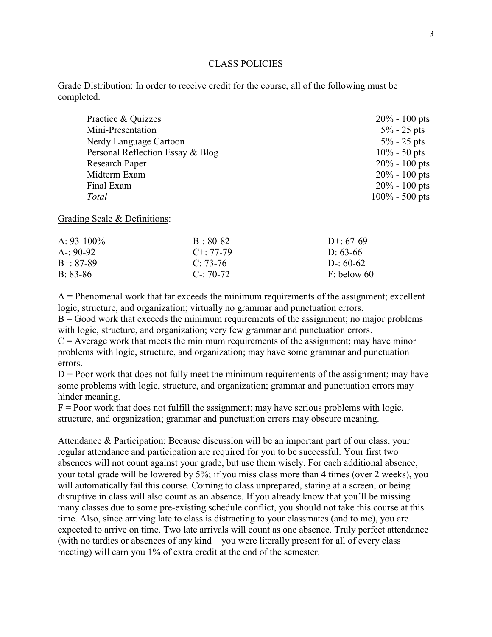#### CLASS POLICIES

Grade Distribution: In order to receive credit for the course, all of the following must be completed.

| Practice & Quizzes               | $20\% - 100$ pts  |
|----------------------------------|-------------------|
| Mini-Presentation                | $5\% - 25$ pts    |
| Nerdy Language Cartoon           | $5\% - 25$ pts    |
| Personal Reflection Essay & Blog | $10\% - 50$ pts   |
| <b>Research Paper</b>            | $20\% - 100$ pts  |
| Midterm Exam                     | $20\% - 100$ pts  |
| Final Exam                       | $20\% - 100$ pts  |
| Total                            | $100\% - 500$ pts |

Grading Scale & Definitions:

| $B - 80 - 82$     | D+: $67-69$   |
|-------------------|---------------|
| $C_{\pm}$ : 77-79 | D: 63-66      |
| $C: 73-76$        | D-: $60-62$   |
| $C_{\rm}$ : 70-72 | $F:$ below 60 |
|                   |               |

 $A =$  Phenomenal work that far exceeds the minimum requirements of the assignment; excellent logic, structure, and organization; virtually no grammar and punctuation errors.

 $B = Good$  work that exceeds the minimum requirements of the assignment; no major problems with logic, structure, and organization; very few grammar and punctuation errors.

 $C =$  Average work that meets the minimum requirements of the assignment; may have minor problems with logic, structure, and organization; may have some grammar and punctuation errors.

 $D =$  Poor work that does not fully meet the minimum requirements of the assignment; may have some problems with logic, structure, and organization; grammar and punctuation errors may hinder meaning.

 $F =$  Poor work that does not fulfill the assignment; may have serious problems with logic, structure, and organization; grammar and punctuation errors may obscure meaning.

Attendance & Participation: Because discussion will be an important part of our class, your regular attendance and participation are required for you to be successful. Your first two absences will not count against your grade, but use them wisely. For each additional absence, your total grade will be lowered by 5%; if you miss class more than 4 times (over 2 weeks), you will automatically fail this course. Coming to class unprepared, staring at a screen, or being disruptive in class will also count as an absence. If you already know that you'll be missing many classes due to some pre-existing schedule conflict, you should not take this course at this time. Also, since arriving late to class is distracting to your classmates (and to me), you are expected to arrive on time. Two late arrivals will count as one absence. Truly perfect attendance (with no tardies or absences of any kind—you were literally present for all of every class meeting) will earn you 1% of extra credit at the end of the semester.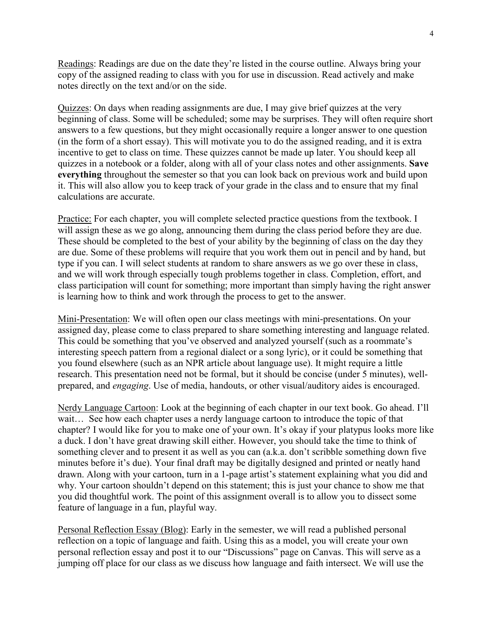Readings: Readings are due on the date they're listed in the course outline. Always bring your copy of the assigned reading to class with you for use in discussion. Read actively and make notes directly on the text and/or on the side.

Quizzes: On days when reading assignments are due, I may give brief quizzes at the very beginning of class. Some will be scheduled; some may be surprises. They will often require short answers to a few questions, but they might occasionally require a longer answer to one question (in the form of a short essay). This will motivate you to do the assigned reading, and it is extra incentive to get to class on time. These quizzes cannot be made up later. You should keep all quizzes in a notebook or a folder, along with all of your class notes and other assignments. **Save everything** throughout the semester so that you can look back on previous work and build upon it. This will also allow you to keep track of your grade in the class and to ensure that my final calculations are accurate.

Practice: For each chapter, you will complete selected practice questions from the textbook. I will assign these as we go along, announcing them during the class period before they are due. These should be completed to the best of your ability by the beginning of class on the day they are due. Some of these problems will require that you work them out in pencil and by hand, but type if you can. I will select students at random to share answers as we go over these in class, and we will work through especially tough problems together in class. Completion, effort, and class participation will count for something; more important than simply having the right answer is learning how to think and work through the process to get to the answer.

Mini-Presentation: We will often open our class meetings with mini-presentations. On your assigned day, please come to class prepared to share something interesting and language related. This could be something that you've observed and analyzed yourself (such as a roommate's interesting speech pattern from a regional dialect or a song lyric), or it could be something that you found elsewhere (such as an NPR article about language use). It might require a little research. This presentation need not be formal, but it should be concise (under 5 minutes), wellprepared, and *engaging*. Use of media, handouts, or other visual/auditory aides is encouraged.

Nerdy Language Cartoon: Look at the beginning of each chapter in our text book. Go ahead. I'll wait… See how each chapter uses a nerdy language cartoon to introduce the topic of that chapter? I would like for you to make one of your own. It's okay if your platypus looks more like a duck. I don't have great drawing skill either. However, you should take the time to think of something clever and to present it as well as you can (a.k.a. don't scribble something down five minutes before it's due). Your final draft may be digitally designed and printed or neatly hand drawn. Along with your cartoon, turn in a 1-page artist's statement explaining what you did and why. Your cartoon shouldn't depend on this statement; this is just your chance to show me that you did thoughtful work. The point of this assignment overall is to allow you to dissect some feature of language in a fun, playful way.

Personal Reflection Essay (Blog): Early in the semester, we will read a published personal reflection on a topic of language and faith. Using this as a model, you will create your own personal reflection essay and post it to our "Discussions" page on Canvas. This will serve as a jumping off place for our class as we discuss how language and faith intersect. We will use the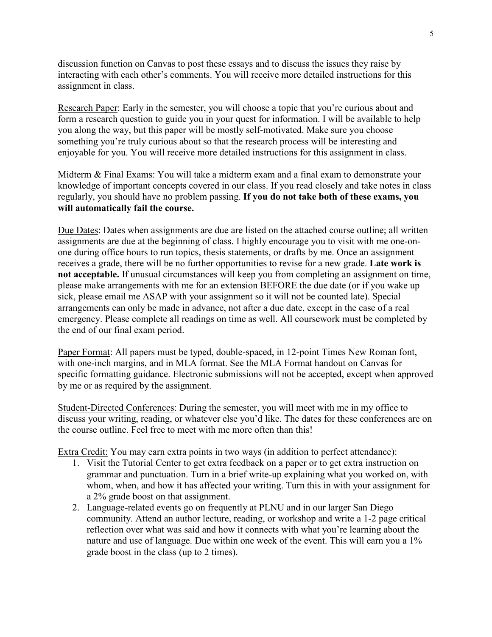discussion function on Canvas to post these essays and to discuss the issues they raise by interacting with each other's comments. You will receive more detailed instructions for this assignment in class.

Research Paper: Early in the semester, you will choose a topic that you're curious about and form a research question to guide you in your quest for information. I will be available to help you along the way, but this paper will be mostly self-motivated. Make sure you choose something you're truly curious about so that the research process will be interesting and enjoyable for you. You will receive more detailed instructions for this assignment in class.

Midterm & Final Exams: You will take a midterm exam and a final exam to demonstrate your knowledge of important concepts covered in our class. If you read closely and take notes in class regularly, you should have no problem passing. **If you do not take both of these exams, you will automatically fail the course.**

Due Dates: Dates when assignments are due are listed on the attached course outline; all written assignments are due at the beginning of class. I highly encourage you to visit with me one-onone during office hours to run topics, thesis statements, or drafts by me. Once an assignment receives a grade, there will be no further opportunities to revise for a new grade. **Late work is not acceptable.** If unusual circumstances will keep you from completing an assignment on time, please make arrangements with me for an extension BEFORE the due date (or if you wake up sick, please email me ASAP with your assignment so it will not be counted late). Special arrangements can only be made in advance, not after a due date, except in the case of a real emergency. Please complete all readings on time as well. All coursework must be completed by the end of our final exam period.

Paper Format: All papers must be typed, double-spaced, in 12-point Times New Roman font, with one-inch margins, and in MLA format. See the MLA Format handout on Canvas for specific formatting guidance. Electronic submissions will not be accepted, except when approved by me or as required by the assignment.

Student-Directed Conferences: During the semester, you will meet with me in my office to discuss your writing, reading, or whatever else you'd like. The dates for these conferences are on the course outline. Feel free to meet with me more often than this!

Extra Credit: You may earn extra points in two ways (in addition to perfect attendance):

- 1. Visit the Tutorial Center to get extra feedback on a paper or to get extra instruction on grammar and punctuation. Turn in a brief write-up explaining what you worked on, with whom, when, and how it has affected your writing. Turn this in with your assignment for a 2% grade boost on that assignment.
- 2. Language-related events go on frequently at PLNU and in our larger San Diego community. Attend an author lecture, reading, or workshop and write a 1-2 page critical reflection over what was said and how it connects with what you're learning about the nature and use of language. Due within one week of the event. This will earn you a 1% grade boost in the class (up to 2 times).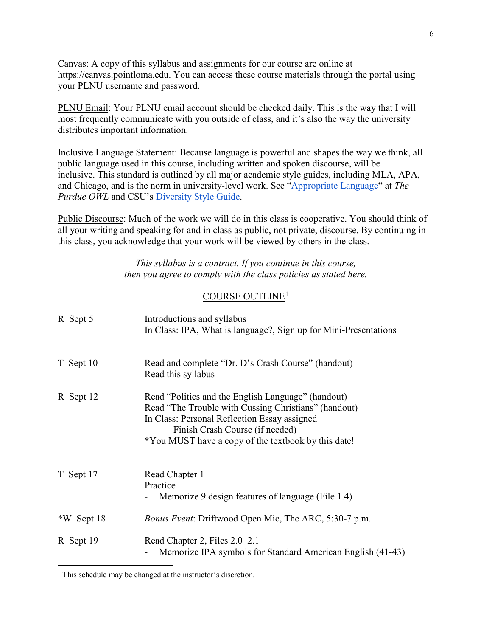Canvas: A copy of this syllabus and assignments for our course are online at https://canvas.pointloma.edu. You can access these course materials through the portal using your PLNU username and password.

PLNU Email: Your PLNU email account should be checked daily. This is the way that I will most frequently communicate with you outside of class, and it's also the way the university distributes important information.

Inclusive Language Statement: Because language is powerful and shapes the way we think, all public language used in this course, including written and spoken discourse, will be inclusive. This standard is outlined by all major academic style guides, including MLA, APA, and Chicago, and is the norm in university-level work. See ["Appropriate Language"](https://owl.purdue.edu/owl/general_writing/academic_writing/using_appropriate_language/index.html) at *The Purdue OWL* and CSU's [Diversity Style Guide.](https://www2.calstate.edu/csu-system/csu-branding-standards/editorial-style-guide/Pages/diversity-style-guide.aspx)

Public Discourse: Much of the work we will do in this class is cooperative. You should think of all your writing and speaking for and in class as public, not private, discourse. By continuing in this class, you acknowledge that your work will be viewed by others in the class.

> *This syllabus is a contract. If you continue in this course, then you agree to comply with the class policies as stated here.*

## COURSE OUTLINE[1](#page-5-0)

| R Sept 5   | Introductions and syllabus<br>In Class: IPA, What is language?, Sign up for Mini-Presentations                                                                                                                                                       |
|------------|------------------------------------------------------------------------------------------------------------------------------------------------------------------------------------------------------------------------------------------------------|
| T Sept 10  | Read and complete "Dr. D's Crash Course" (handout)<br>Read this syllabus                                                                                                                                                                             |
| R Sept 12  | Read "Politics and the English Language" (handout)<br>Read "The Trouble with Cussing Christians" (handout)<br>In Class: Personal Reflection Essay assigned<br>Finish Crash Course (if needed)<br>*You MUST have a copy of the textbook by this date! |
| T Sept 17  | Read Chapter 1<br>Practice<br>Memorize 9 design features of language (File 1.4)                                                                                                                                                                      |
| *W Sept 18 | <i>Bonus Event: Driftwood Open Mic, The ARC, 5:30-7 p.m.</i>                                                                                                                                                                                         |
| R Sept 19  | Read Chapter 2, Files 2.0–2.1<br>Memorize IPA symbols for Standard American English (41-43)                                                                                                                                                          |

 $\overline{a}$ 

<span id="page-5-0"></span><sup>&</sup>lt;sup>1</sup> This schedule may be changed at the instructor's discretion.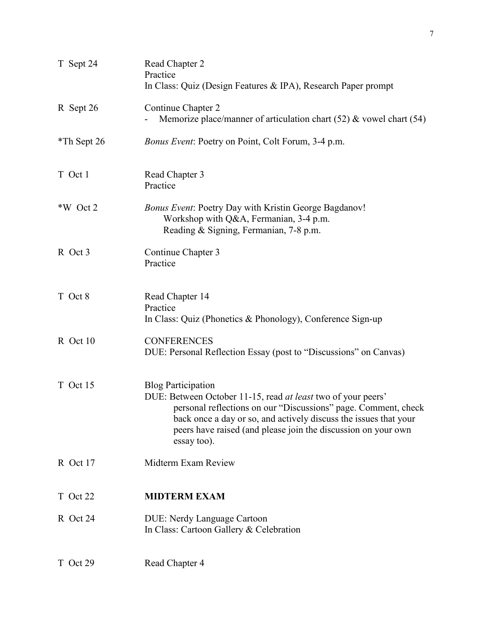| T Sept 24   | Read Chapter 2<br>Practice<br>In Class: Quiz (Design Features & IPA), Research Paper prompt                                                                                                                                                                                                                     |
|-------------|-----------------------------------------------------------------------------------------------------------------------------------------------------------------------------------------------------------------------------------------------------------------------------------------------------------------|
| R Sept 26   | Continue Chapter 2<br>Memorize place/manner of articulation chart $(52)$ & vowel chart $(54)$                                                                                                                                                                                                                   |
| *Th Sept 26 | Bonus Event: Poetry on Point, Colt Forum, 3-4 p.m.                                                                                                                                                                                                                                                              |
| T Oct 1     | Read Chapter 3<br>Practice                                                                                                                                                                                                                                                                                      |
| *W Oct 2    | <b>Bonus Event: Poetry Day with Kristin George Bagdanov!</b><br>Workshop with Q&A, Fermanian, 3-4 p.m.<br>Reading & Signing, Fermanian, 7-8 p.m.                                                                                                                                                                |
| R Oct 3     | Continue Chapter 3<br>Practice                                                                                                                                                                                                                                                                                  |
| T Oct 8     | Read Chapter 14<br>Practice<br>In Class: Quiz (Phonetics & Phonology), Conference Sign-up                                                                                                                                                                                                                       |
| R Oct 10    | <b>CONFERENCES</b><br>DUE: Personal Reflection Essay (post to "Discussions" on Canvas)                                                                                                                                                                                                                          |
| T Oct 15    | <b>Blog Participation</b><br>DUE: Between October 11-15, read at least two of your peers'<br>personal reflections on our "Discussions" page. Comment, check<br>back once a day or so, and actively discuss the issues that your<br>peers have raised (and please join the discussion on your own<br>essay too). |
| R Oct 17    | Midterm Exam Review                                                                                                                                                                                                                                                                                             |
| T Oct 22    | <b>MIDTERM EXAM</b>                                                                                                                                                                                                                                                                                             |
| R Oct 24    | <b>DUE: Nerdy Language Cartoon</b><br>In Class: Cartoon Gallery & Celebration                                                                                                                                                                                                                                   |
| T Oct 29    | Read Chapter 4                                                                                                                                                                                                                                                                                                  |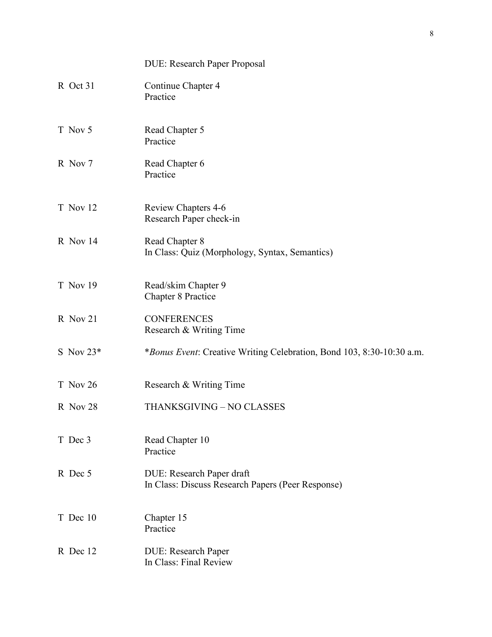|             | <b>DUE: Research Paper Proposal</b>                                            |
|-------------|--------------------------------------------------------------------------------|
| R Oct 31    | Continue Chapter 4<br>Practice                                                 |
| T Nov 5     | Read Chapter 5<br>Practice                                                     |
| R Nov 7     | Read Chapter 6<br>Practice                                                     |
| T Nov 12    | Review Chapters 4-6<br>Research Paper check-in                                 |
| R Nov 14    | Read Chapter 8<br>In Class: Quiz (Morphology, Syntax, Semantics)               |
| T Nov 19    | Read/skim Chapter 9<br><b>Chapter 8 Practice</b>                               |
| R Nov 21    | <b>CONFERENCES</b><br>Research & Writing Time                                  |
| S Nov $23*$ | <i>*Bonus Event:</i> Creative Writing Celebration, Bond 103, 8:30-10:30 a.m.   |
| T Nov 26    | Research & Writing Time                                                        |
| R Nov 28    | THANKSGIVING - NO CLASSES                                                      |
| T Dec 3     | Read Chapter 10<br>Practice                                                    |
| R Dec 5     | DUE: Research Paper draft<br>In Class: Discuss Research Papers (Peer Response) |
| T Dec 10    | Chapter 15<br>Practice                                                         |
| R Dec 12    | DUE: Research Paper<br>In Class: Final Review                                  |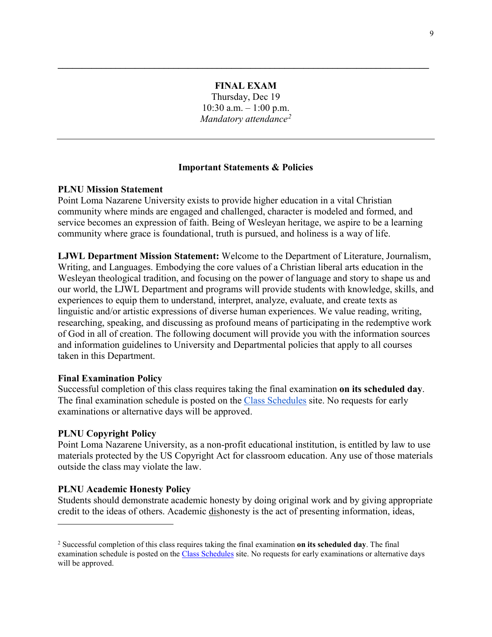# **FINAL EXAM**

**\_\_\_\_\_\_\_\_\_\_\_\_\_\_\_\_\_\_\_\_\_\_\_\_\_\_\_\_\_\_\_\_\_\_\_\_\_\_\_\_\_\_\_\_\_\_\_\_\_\_\_\_\_\_\_\_\_\_\_\_\_\_\_\_\_\_\_\_\_\_\_\_\_\_\_\_\_**

Thursday, Dec 19  $10:30$  a.m.  $-1:00$  p.m. *Mandatory attendance[2](#page-8-0)*

## **Important Statements & Policies**

## **PLNU Mission Statement**

Point Loma Nazarene University exists to provide higher education in a vital Christian community where minds are engaged and challenged, character is modeled and formed, and service becomes an expression of faith. Being of Wesleyan heritage, we aspire to be a learning community where grace is foundational, truth is pursued, and holiness is a way of life.

**LJWL Department Mission Statement:** Welcome to the Department of Literature, Journalism, Writing, and Languages. Embodying the core values of a Christian liberal arts education in the Wesleyan theological tradition, and focusing on the power of language and story to shape us and our world, the LJWL Department and programs will provide students with knowledge, skills, and experiences to equip them to understand, interpret, analyze, evaluate, and create texts as linguistic and/or artistic expressions of diverse human experiences. We value reading, writing, researching, speaking, and discussing as profound means of participating in the redemptive work of God in all of creation. The following document will provide you with the information sources and information guidelines to University and Departmental policies that apply to all courses taken in this Department.

### **Final Examination Policy**

Successful completion of this class requires taking the final examination **on its scheduled day**. The final examination schedule is posted on the [Class Schedules](http://www.pointloma.edu/experience/academics/class-schedules) site. No requests for early examinations or alternative days will be approved.

### **PLNU Copyright Policy**

 $\overline{a}$ 

Point Loma Nazarene University, as a non-profit educational institution, is entitled by law to use materials protected by the US Copyright Act for classroom education. Any use of those materials outside the class may violate the law.

### **PLNU Academic Honesty Policy**

Students should demonstrate academic honesty by doing original work and by giving appropriate credit to the ideas of others. Academic dishonesty is the act of presenting information, ideas,

<span id="page-8-0"></span><sup>2</sup> Successful completion of this class requires taking the final examination **on its scheduled day**. The final examination schedule is posted on the [Class Schedules](http://www.pointloma.edu/experience/academics/class-schedules) site. No requests for early examinations or alternative days will be approved.